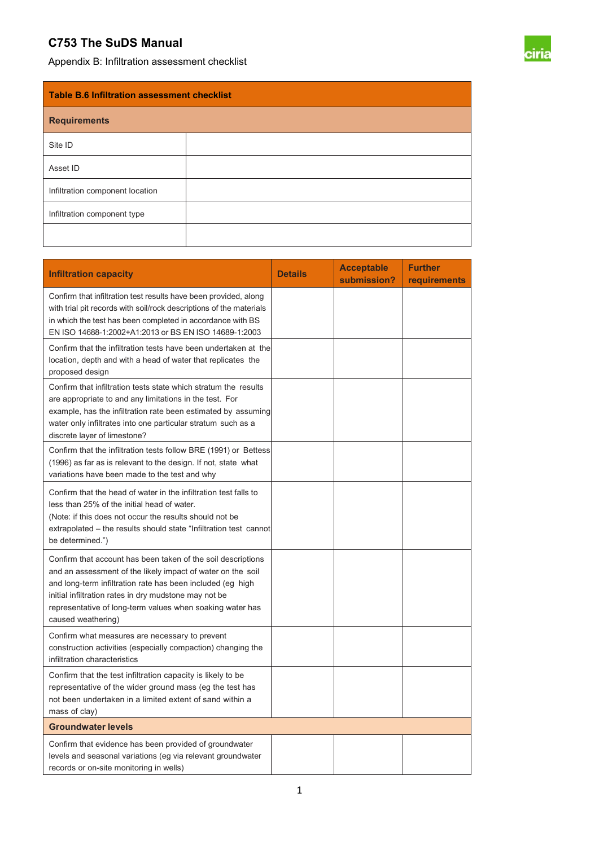## **C753 The SuDS Manual**

Appendix B: Infiltration assessment checklist



| <b>Table B.6 Infiltration assessment checklist</b> |  |  |  |
|----------------------------------------------------|--|--|--|
| <b>Requirements</b>                                |  |  |  |
| Site ID                                            |  |  |  |
| Asset ID                                           |  |  |  |
| Infiltration component location                    |  |  |  |
| Infiltration component type                        |  |  |  |
|                                                    |  |  |  |

| <b>Infiltration capacity</b>                                                                                                                                                                                                                                                                                                          | <b>Details</b> | <b>Acceptable</b><br>submission? | <b>Further</b><br><b>requirements</b> |  |
|---------------------------------------------------------------------------------------------------------------------------------------------------------------------------------------------------------------------------------------------------------------------------------------------------------------------------------------|----------------|----------------------------------|---------------------------------------|--|
| Confirm that infiltration test results have been provided, along<br>with trial pit records with soil/rock descriptions of the materials<br>in which the test has been completed in accordance with BS<br>EN ISO 14688-1:2002+A1:2013 or BS EN ISO 14689-1:2003                                                                        |                |                                  |                                       |  |
| Confirm that the infiltration tests have been undertaken at the<br>location, depth and with a head of water that replicates the<br>proposed design                                                                                                                                                                                    |                |                                  |                                       |  |
| Confirm that infiltration tests state which stratum the results<br>are appropriate to and any limitations in the test. For<br>example, has the infiltration rate been estimated by assuming<br>water only infiltrates into one particular stratum such as a<br>discrete layer of limestone?                                           |                |                                  |                                       |  |
| Confirm that the infiltration tests follow BRE (1991) or Bettess<br>(1996) as far as is relevant to the design. If not, state what<br>variations have been made to the test and why                                                                                                                                                   |                |                                  |                                       |  |
| Confirm that the head of water in the infiltration test falls to<br>less than 25% of the initial head of water.<br>(Note: if this does not occur the results should not be<br>extrapolated – the results should state "Infiltration test cannot<br>be determined.")                                                                   |                |                                  |                                       |  |
| Confirm that account has been taken of the soil descriptions<br>and an assessment of the likely impact of water on the soil<br>and long-term infiltration rate has been included (eg high<br>initial infiltration rates in dry mudstone may not be<br>representative of long-term values when soaking water has<br>caused weathering) |                |                                  |                                       |  |
| Confirm what measures are necessary to prevent<br>construction activities (especially compaction) changing the<br>infiltration characteristics                                                                                                                                                                                        |                |                                  |                                       |  |
| Confirm that the test infiltration capacity is likely to be<br>representative of the wider ground mass (eg the test has<br>not been undertaken in a limited extent of sand within a<br>mass of clay)                                                                                                                                  |                |                                  |                                       |  |
| <b>Groundwater levels</b>                                                                                                                                                                                                                                                                                                             |                |                                  |                                       |  |
| Confirm that evidence has been provided of groundwater<br>levels and seasonal variations (eg via relevant groundwater<br>records or on-site monitoring in wells)                                                                                                                                                                      |                |                                  |                                       |  |